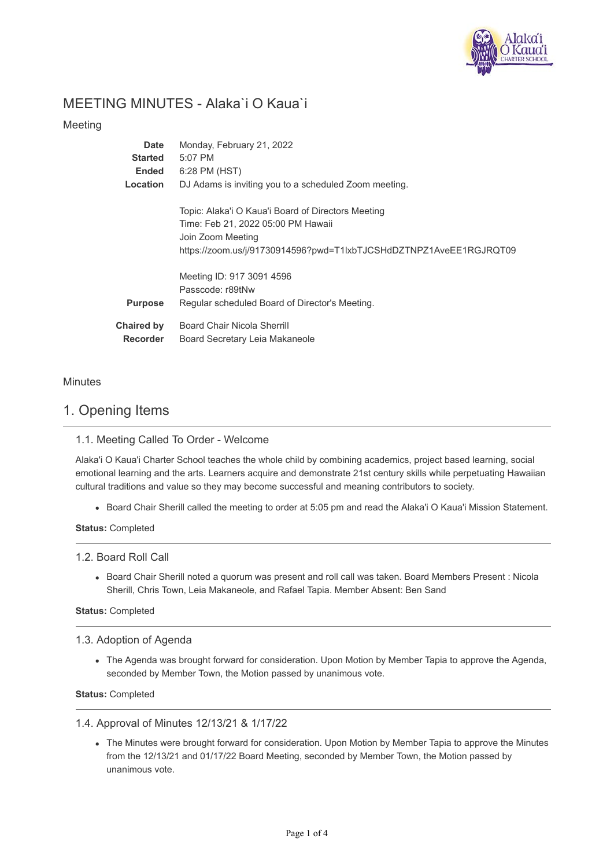

# MEETING MINUTES - Alaka`i O Kaua`i

## Meeting

| Date                                 | Monday, February 21, 2022                                                                                                                                                           |
|--------------------------------------|-------------------------------------------------------------------------------------------------------------------------------------------------------------------------------------|
| <b>Started</b>                       | 5:07 PM                                                                                                                                                                             |
| Ended                                | 6:28 PM (HST)                                                                                                                                                                       |
| Location                             | DJ Adams is inviting you to a scheduled Zoom meeting.                                                                                                                               |
|                                      | Topic: Alaka'i O Kaua'i Board of Directors Meeting<br>Time: Feb 21, 2022 05:00 PM Hawaii<br>Join Zoom Meeting<br>https://zoom.us/j/91730914596?pwd=T1lxbTJCSHdDZTNPZ1AveEE1RGJRQT09 |
| <b>Purpose</b>                       | Meeting ID: 917 3091 4596<br>Passcode: r89tNw<br>Regular scheduled Board of Director's Meeting.                                                                                     |
| <b>Chaired by</b><br><b>Recorder</b> | Board Chair Nicola Sherrill<br>Board Secretary Leia Makaneole                                                                                                                       |

## **Minutes**

## 1. Opening Items

## 1.1. Meeting Called To Order - Welcome

Alaka'i O Kaua'i Charter School teaches the whole child by combining academics, project based learning, social emotional learning and the arts. Learners acquire and demonstrate 21st century skills while perpetuating Hawaiian cultural traditions and value so they may become successful and meaning contributors to society.

Board Chair Sherill called the meeting to order at 5:05 pm and read the Alaka'i O Kaua'i Mission Statement.

**Status:** Completed

1.2. Board Roll Call

Board Chair Sherill noted a quorum was present and roll call was taken. Board Members Present : Nicola Sherill, Chris Town, Leia Makaneole, and Rafael Tapia. Member Absent: Ben Sand

#### **Status:** Completed

## 1.3. Adoption of Agenda

The Agenda was brought forward for consideration. Upon Motion by Member Tapia to approve the Agenda, seconded by Member Town, the Motion passed by unanimous vote.

**Status:** Completed

1.4. Approval of Minutes 12/13/21 & 1/17/22

The Minutes were brought forward for consideration. Upon Motion by Member Tapia to approve the Minutes from the 12/13/21 and 01/17/22 Board Meeting, seconded by Member Town, the Motion passed by unanimous vote.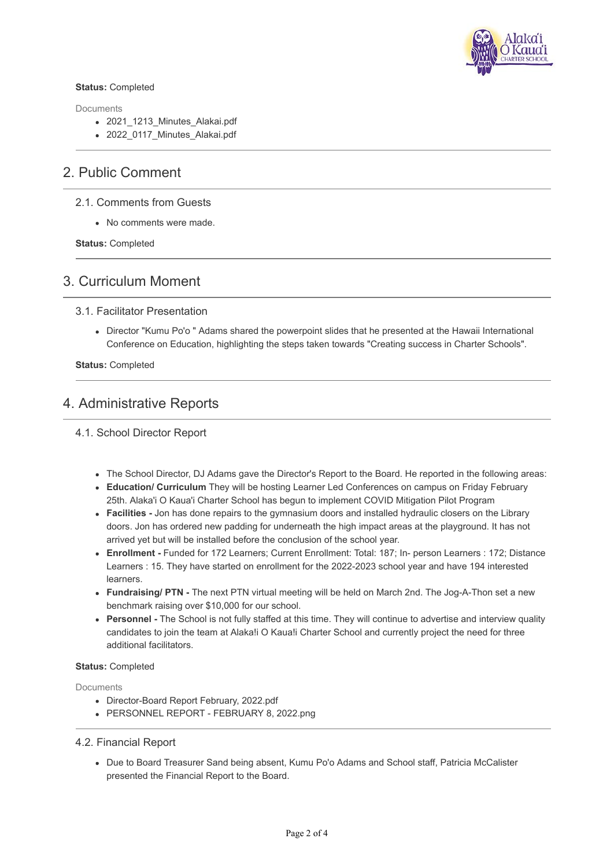

#### **Status:** Completed

**Documents** 

- 2021 1213 Minutes Alakai.pdf
- 2022\_0117\_Minutes\_Alakai.pdf

## 2. Public Comment

### 2.1. Comments from Guests

No comments were made.

**Status:** Completed

## 3. Curriculum Moment

### 3.1. Facilitator Presentation

Director "Kumu Po'o " Adams shared the powerpoint slides that he presented at the Hawaii International Conference on Education, highlighting the steps taken towards "Creating success in Charter Schools".

**Status:** Completed

## 4. Administrative Reports

4.1. School Director Report

- The School Director, DJ Adams gave the Director's Report to the Board. He reported in the following areas:
- **Education/ Curriculum** They will be hosting Learner Led Conferences on campus on Friday February 25th. Alaka'i O Kaua'i Charter School has begun to implement COVID Mitigation Pilot Program
- **Facilities** Jon has done repairs to the gymnasium doors and installed hydraulic closers on the Library doors. Jon has ordered new padding for underneath the high impact areas at the playground. It has not arrived yet but will be installed before the conclusion of the school year.
- **Enrollment** Funded for 172 Learners; Current Enrollment: Total: 187; In- person Learners : 172; Distance Learners : 15. They have started on enrollment for the 2022-2023 school year and have 194 interested learners.
- **Fundraising/ PTN -** The next PTN virtual meeting will be held on March 2nd. The Jog-A-Thon set a new benchmark raising over \$10,000 for our school.
- **Personnel** The School is not fully staffed at this time. They will continue to advertise and interview quality candidates to join the team at Alaka!i O Kaua!i Charter School and currently project the need for three additional facilitators.

#### **Status:** Completed

Documents

- Director-Board Report February, 2022.pdf
- PERSONNEL REPORT FEBRUARY 8, 2022.png

## 4.2. Financial Report

Due to Board Treasurer Sand being absent, Kumu Po'o Adams and School staff, Patricia McCalister presented the Financial Report to the Board.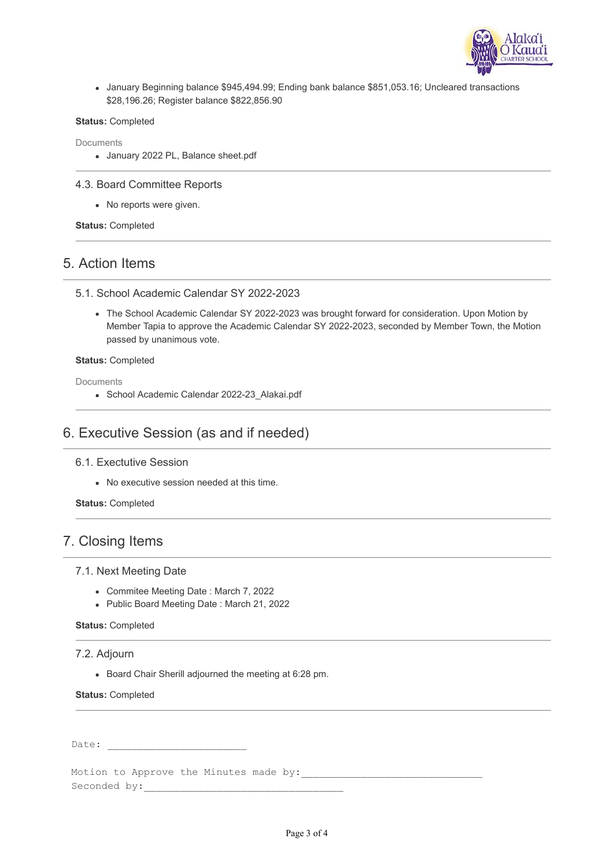

January Beginning balance \$945,494.99; Ending bank balance \$851,053.16; Uncleared transactions \$28,196.26; Register balance \$822,856.90

#### **Status:** Completed

Documents

January 2022 PL, Balance sheet.pdf

#### 4.3. Board Committee Reports

• No reports were given.

**Status:** Completed

## 5. Action Items

#### 5.1. School Academic Calendar SY 2022-2023

The School Academic Calendar SY 2022-2023 was brought forward for consideration. Upon Motion by Member Tapia to approve the Academic Calendar SY 2022-2023, seconded by Member Town, the Motion passed by unanimous vote.

#### **Status:** Completed

**Documents** 

• School Academic Calendar 2022-23 Alakai.pdf

# 6. Executive Session (as and if needed)

6.1. Exectutive Session

No executive session needed at this time.

**Status:** Completed

# 7. Closing Items

#### 7.1. Next Meeting Date

- Commitee Meeting Date : March 7, 2022
- Public Board Meeting Date : March 21, 2022

#### **Status:** Completed

## 7.2. Adjourn

Board Chair Sherill adjourned the meeting at 6:28 pm.

**Status:** Completed

Date:

Motion to Approve the Minutes made by: Seconded by:\_\_\_\_\_\_\_\_\_\_\_\_\_\_\_\_\_\_\_\_\_\_\_\_\_\_\_\_\_\_\_\_\_